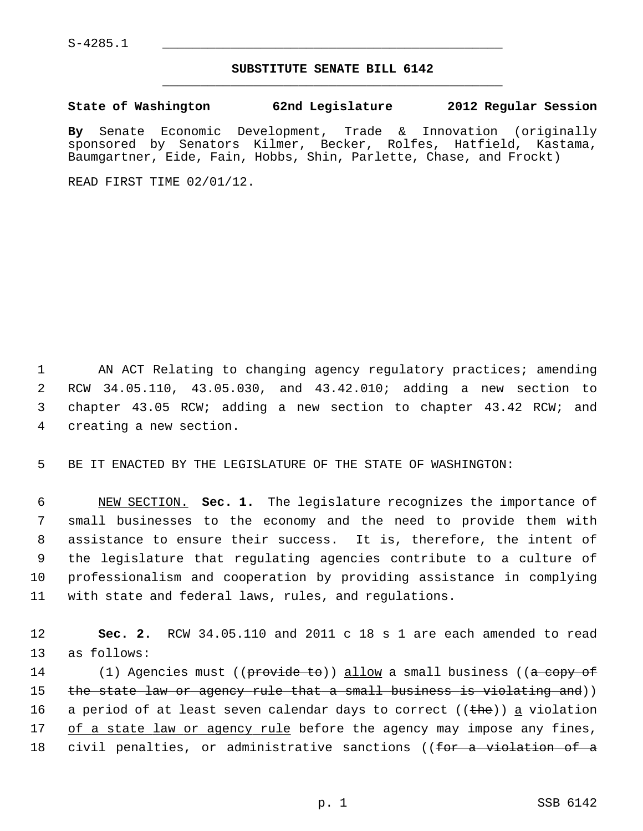## **SUBSTITUTE SENATE BILL 6142** \_\_\_\_\_\_\_\_\_\_\_\_\_\_\_\_\_\_\_\_\_\_\_\_\_\_\_\_\_\_\_\_\_\_\_\_\_\_\_\_\_\_\_\_\_

## **State of Washington 62nd Legislature 2012 Regular Session**

**By** Senate Economic Development, Trade & Innovation (originally sponsored by Senators Kilmer, Becker, Rolfes, Hatfield, Kastama, Baumgartner, Eide, Fain, Hobbs, Shin, Parlette, Chase, and Frockt)

READ FIRST TIME 02/01/12.

1 AN ACT Relating to changing agency regulatory practices; amending 2 RCW 34.05.110, 43.05.030, and 43.42.010; adding a new section to 3 chapter 43.05 RCW; adding a new section to chapter 43.42 RCW; and 4 creating a new section.

5 BE IT ENACTED BY THE LEGISLATURE OF THE STATE OF WASHINGTON:

 6 NEW SECTION. **Sec. 1.** The legislature recognizes the importance of 7 small businesses to the economy and the need to provide them with 8 assistance to ensure their success. It is, therefore, the intent of 9 the legislature that regulating agencies contribute to a culture of 10 professionalism and cooperation by providing assistance in complying 11 with state and federal laws, rules, and regulations.

12 **Sec. 2.** RCW 34.05.110 and 2011 c 18 s 1 are each amended to read 13 as follows:

14 (1) Agencies must ((p<del>rovide to</del>)) allow a small business ((<del>a copy of</del> 15 the state law or agency rule that a small business is violating and)) 16 a period of at least seven calendar days to correct ( $(\text{the})$ ) a violation 17 of a state law or agency rule before the agency may impose any fines, 18 civil penalties, or administrative sanctions ((for a violation of a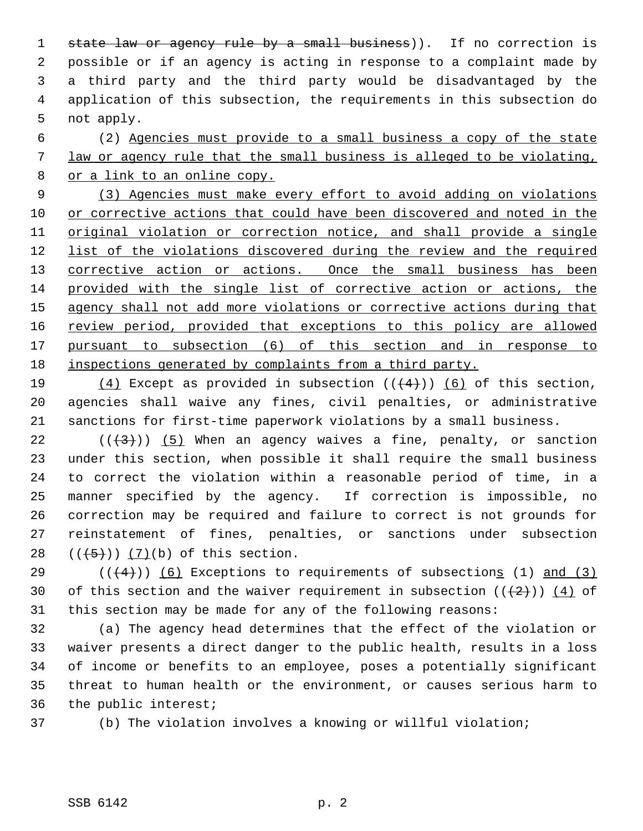1 state law or agency rule by a small business)). If no correction is 2 possible or if an agency is acting in response to a complaint made by 3 a third party and the third party would be disadvantaged by the 4 application of this subsection, the requirements in this subsection do 5 not apply.

 6 (2) Agencies must provide to a small business a copy of the state 7 law or agency rule that the small business is alleged to be violating, 8 or a link to an online copy.

 (3) Agencies must make every effort to avoid adding on violations or corrective actions that could have been discovered and noted in the original violation or correction notice, and shall provide a single list of the violations discovered during the review and the required 13 corrective action or actions. Once the small business has been provided with the single list of corrective action or actions, the agency shall not add more violations or corrective actions during that review period, provided that exceptions to this policy are allowed pursuant to subsection (6) of this section and in response to inspections generated by complaints from a third party.

19 (4) Except as provided in subsection  $((+4))$  (6) of this section, 20 agencies shall waive any fines, civil penalties, or administrative 21 sanctions for first-time paperwork violations by a small business.

22 ( $(\frac{43}{})$ ) (5) When an agency waives a fine, penalty, or sanction 23 under this section, when possible it shall require the small business 24 to correct the violation within a reasonable period of time, in a 25 manner specified by the agency. If correction is impossible, no 26 correction may be required and failure to correct is not grounds for 27 reinstatement of fines, penalties, or sanctions under subsection 28  $((+5))$   $(7)(b)$  of this section.

29 ( $(\overline{4})$ ) (6) Exceptions to requirements of subsections (1) and (3) 30 of this section and the waiver requirement in subsection  $((+2)^{n})$  (4) of 31 this section may be made for any of the following reasons:

32 (a) The agency head determines that the effect of the violation or 33 waiver presents a direct danger to the public health, results in a loss 34 of income or benefits to an employee, poses a potentially significant 35 threat to human health or the environment, or causes serious harm to 36 the public interest;

37 (b) The violation involves a knowing or willful violation;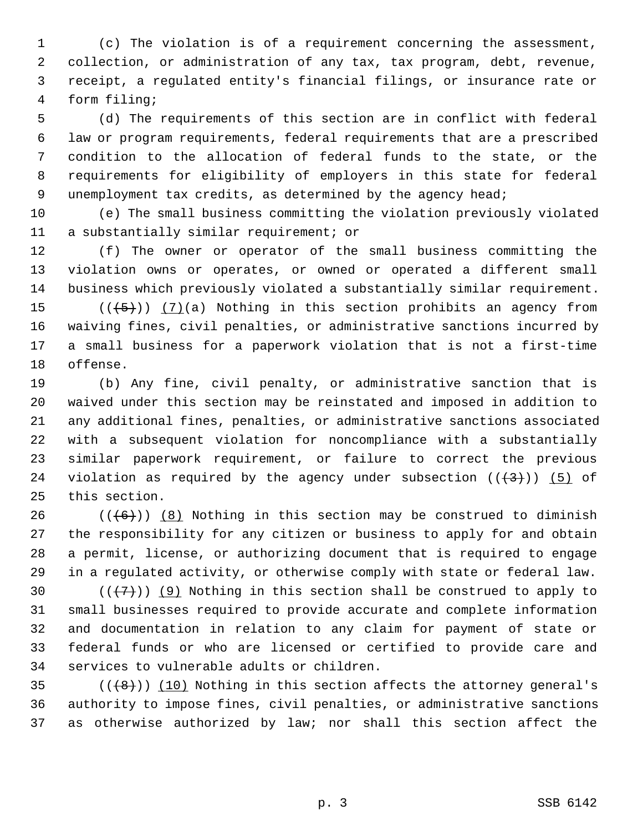1 (c) The violation is of a requirement concerning the assessment, 2 collection, or administration of any tax, tax program, debt, revenue, 3 receipt, a regulated entity's financial filings, or insurance rate or 4 form filing;

 5 (d) The requirements of this section are in conflict with federal 6 law or program requirements, federal requirements that are a prescribed 7 condition to the allocation of federal funds to the state, or the 8 requirements for eligibility of employers in this state for federal 9 unemployment tax credits, as determined by the agency head;

10 (e) The small business committing the violation previously violated 11 a substantially similar requirement; or

12 (f) The owner or operator of the small business committing the 13 violation owns or operates, or owned or operated a different small 14 business which previously violated a substantially similar requirement.

15  $((\langle 5 \rangle)(a)$  Nothing in this section prohibits an agency from 16 waiving fines, civil penalties, or administrative sanctions incurred by 17 a small business for a paperwork violation that is not a first-time 18 offense.

19 (b) Any fine, civil penalty, or administrative sanction that is 20 waived under this section may be reinstated and imposed in addition to 21 any additional fines, penalties, or administrative sanctions associated 22 with a subsequent violation for noncompliance with a substantially 23 similar paperwork requirement, or failure to correct the previous 24 violation as required by the agency under subsection  $((+3))$  (5) of 25 this section.

26  $((+6))$  (8) Nothing in this section may be construed to diminish 27 the responsibility for any citizen or business to apply for and obtain 28 a permit, license, or authorizing document that is required to engage 29 in a regulated activity, or otherwise comply with state or federal law.

30  $((+7)^{n})$  (9) Nothing in this section shall be construed to apply to 31 small businesses required to provide accurate and complete information 32 and documentation in relation to any claim for payment of state or 33 federal funds or who are licensed or certified to provide care and 34 services to vulnerable adults or children.

35  $((+8))$  (10) Nothing in this section affects the attorney general's 36 authority to impose fines, civil penalties, or administrative sanctions 37 as otherwise authorized by law; nor shall this section affect the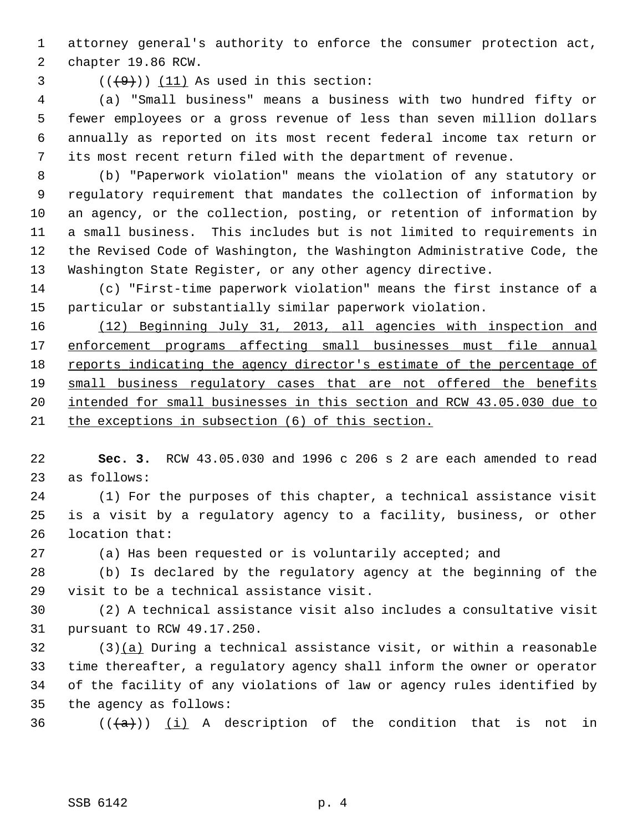1 attorney general's authority to enforce the consumer protection act, 2 chapter 19.86 RCW.

 $(1)$   $(1)$  As used in this section:

 4 (a) "Small business" means a business with two hundred fifty or 5 fewer employees or a gross revenue of less than seven million dollars 6 annually as reported on its most recent federal income tax return or 7 its most recent return filed with the department of revenue.

 8 (b) "Paperwork violation" means the violation of any statutory or 9 regulatory requirement that mandates the collection of information by 10 an agency, or the collection, posting, or retention of information by 11 a small business. This includes but is not limited to requirements in 12 the Revised Code of Washington, the Washington Administrative Code, the 13 Washington State Register, or any other agency directive.

14 (c) "First-time paperwork violation" means the first instance of a 15 particular or substantially similar paperwork violation.

 (12) Beginning July 31, 2013, all agencies with inspection and enforcement programs affecting small businesses must file annual reports indicating the agency director's estimate of the percentage of small business regulatory cases that are not offered the benefits intended for small businesses in this section and RCW 43.05.030 due to the exceptions in subsection (6) of this section.

22 **Sec. 3.** RCW 43.05.030 and 1996 c 206 s 2 are each amended to read 23 as follows:

24 (1) For the purposes of this chapter, a technical assistance visit 25 is a visit by a regulatory agency to a facility, business, or other 26 location that:

27 (a) Has been requested or is voluntarily accepted; and

28 (b) Is declared by the regulatory agency at the beginning of the 29 visit to be a technical assistance visit.

30 (2) A technical assistance visit also includes a consultative visit 31 pursuant to RCW 49.17.250.

32 (3)(a) During a technical assistance visit, or within a reasonable 33 time thereafter, a regulatory agency shall inform the owner or operator 34 of the facility of any violations of law or agency rules identified by 35 the agency as follows:

36  $((+a))$  (i) A description of the condition that is not in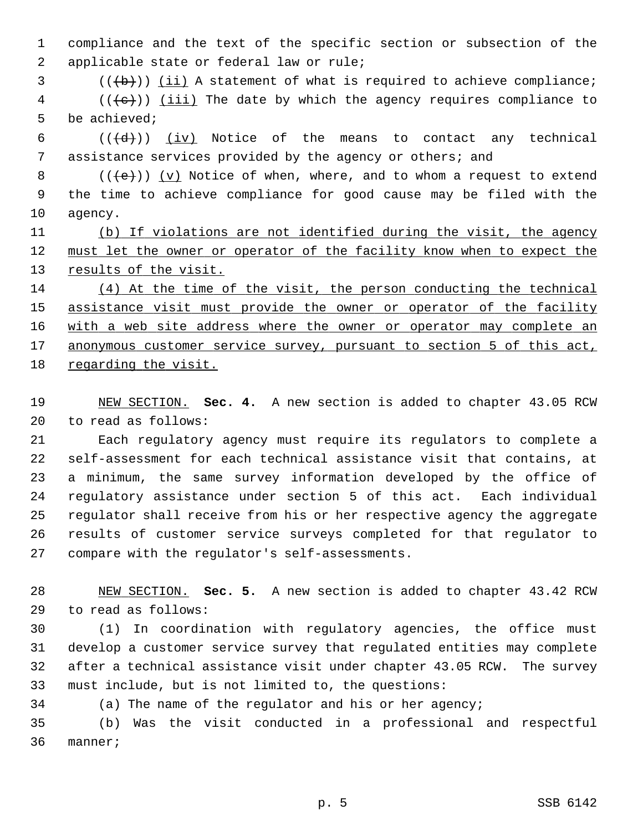1 compliance and the text of the specific section or subsection of the 2 applicable state or federal law or rule;

 $3$  (( $\left(\frac{b}{b}\right)$ ) (ii) A statement of what is required to achieve compliance;

 $4$  (( $\{e\}$ )) (iii) The date by which the agency requires compliance to 5 be achieved;

6  $((\{d\})$   $(iv)$  Notice of the means to contact any technical 7 assistance services provided by the agency or others; and

 $8$  ( $(\text{+e})$ ) (v) Notice of when, where, and to whom a request to extend 9 the time to achieve compliance for good cause may be filed with the 10 agency.

11 (b) If violations are not identified during the visit, the agency 12 must let the owner or operator of the facility know when to expect the 13 results of the visit.

 (4) At the time of the visit, the person conducting the technical assistance visit must provide the owner or operator of the facility with a web site address where the owner or operator may complete an anonymous customer service survey, pursuant to section 5 of this act, regarding the visit.

19 NEW SECTION. **Sec. 4.** A new section is added to chapter 43.05 RCW 20 to read as follows:

21 Each regulatory agency must require its regulators to complete a 22 self-assessment for each technical assistance visit that contains, at 23 a minimum, the same survey information developed by the office of 24 regulatory assistance under section 5 of this act. Each individual 25 regulator shall receive from his or her respective agency the aggregate 26 results of customer service surveys completed for that regulator to 27 compare with the regulator's self-assessments.

28 NEW SECTION. **Sec. 5.** A new section is added to chapter 43.42 RCW 29 to read as follows:

30 (1) In coordination with regulatory agencies, the office must 31 develop a customer service survey that regulated entities may complete 32 after a technical assistance visit under chapter 43.05 RCW. The survey 33 must include, but is not limited to, the questions:

34 (a) The name of the regulator and his or her agency;

35 (b) Was the visit conducted in a professional and respectful 36 manner;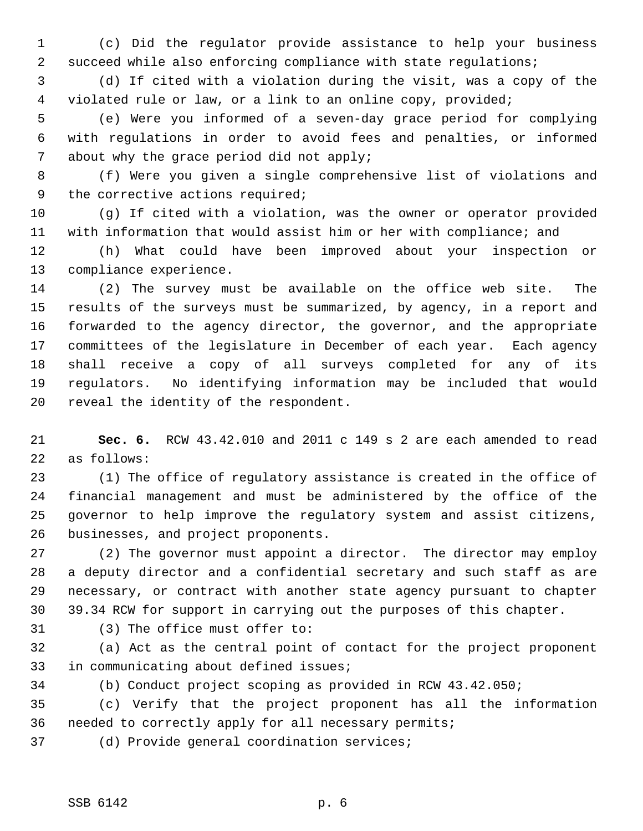1 (c) Did the regulator provide assistance to help your business 2 succeed while also enforcing compliance with state regulations;

 3 (d) If cited with a violation during the visit, was a copy of the 4 violated rule or law, or a link to an online copy, provided;

 5 (e) Were you informed of a seven-day grace period for complying 6 with regulations in order to avoid fees and penalties, or informed 7 about why the grace period did not apply;

 8 (f) Were you given a single comprehensive list of violations and 9 the corrective actions required;

10 (g) If cited with a violation, was the owner or operator provided 11 with information that would assist him or her with compliance; and

12 (h) What could have been improved about your inspection or 13 compliance experience.

14 (2) The survey must be available on the office web site. The 15 results of the surveys must be summarized, by agency, in a report and 16 forwarded to the agency director, the governor, and the appropriate 17 committees of the legislature in December of each year. Each agency 18 shall receive a copy of all surveys completed for any of its 19 regulators. No identifying information may be included that would 20 reveal the identity of the respondent.

21 **Sec. 6.** RCW 43.42.010 and 2011 c 149 s 2 are each amended to read 22 as follows:

23 (1) The office of regulatory assistance is created in the office of 24 financial management and must be administered by the office of the 25 governor to help improve the regulatory system and assist citizens, 26 businesses, and project proponents.

27 (2) The governor must appoint a director. The director may employ 28 a deputy director and a confidential secretary and such staff as are 29 necessary, or contract with another state agency pursuant to chapter 30 39.34 RCW for support in carrying out the purposes of this chapter.

31 (3) The office must offer to:

32 (a) Act as the central point of contact for the project proponent 33 in communicating about defined issues;

34 (b) Conduct project scoping as provided in RCW 43.42.050;

35 (c) Verify that the project proponent has all the information 36 needed to correctly apply for all necessary permits;

37 (d) Provide general coordination services;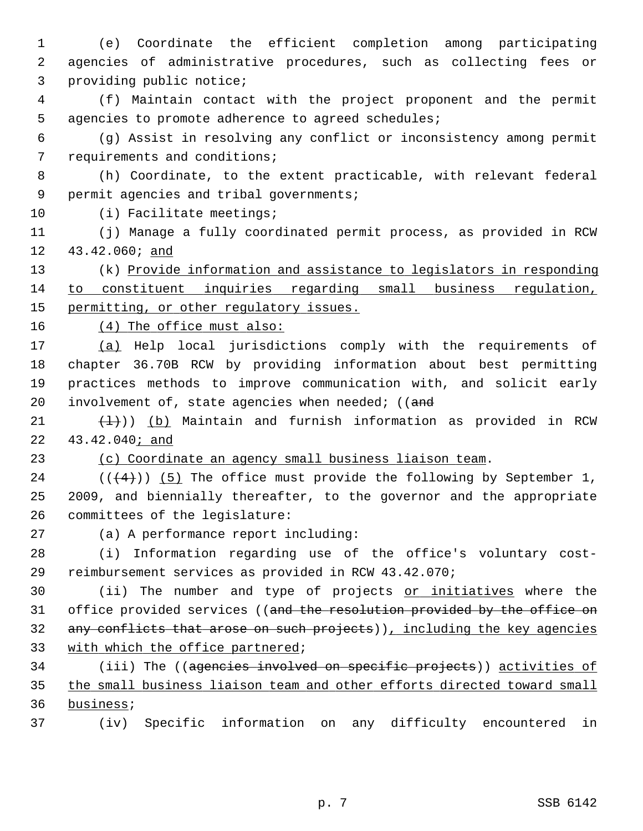1 (e) Coordinate the efficient completion among participating 2 agencies of administrative procedures, such as collecting fees or 3 providing public notice;

 4 (f) Maintain contact with the project proponent and the permit 5 agencies to promote adherence to agreed schedules;

 6 (g) Assist in resolving any conflict or inconsistency among permit 7 requirements and conditions;

 8 (h) Coordinate, to the extent practicable, with relevant federal 9 permit agencies and tribal governments;

10 (i) Facilitate meetings;

11 (j) Manage a fully coordinated permit process, as provided in RCW 12 43.42.060; and

13 (k) Provide information and assistance to legislators in responding 14 to constituent inquiries regarding small business regulation, 15 permitting, or other requlatory issues.

16 (4) The office must also:

17 (a) Help local jurisdictions comply with the requirements of 18 chapter 36.70B RCW by providing information about best permitting 19 practices methods to improve communication with, and solicit early 20 involvement of, state agencies when needed; ( $($ and

21  $(\frac{1}{2})$ ) (b) Maintain and furnish information as provided in RCW 22 43.42.040; and

23 (c) Coordinate an agency small business liaison team.

24  $((\langle 4 \rangle) )$  (5) The office must provide the following by September 1, 25 2009, and biennially thereafter, to the governor and the appropriate 26 committees of the legislature:

27 (a) A performance report including:

28 (i) Information regarding use of the office's voluntary cost-29 reimbursement services as provided in RCW 43.42.070;

30 (ii) The number and type of projects or initiatives where the 31 office provided services ((and the resolution provided by the office on 32 any conflicts that arose on such projects)), including the key agencies 33 with which the office partnered;

34 (iii) The ((agencies involved on specific projects)) activities of 35 the small business liaison team and other efforts directed toward small 36 business;

37 (iv) Specific information on any difficulty encountered in